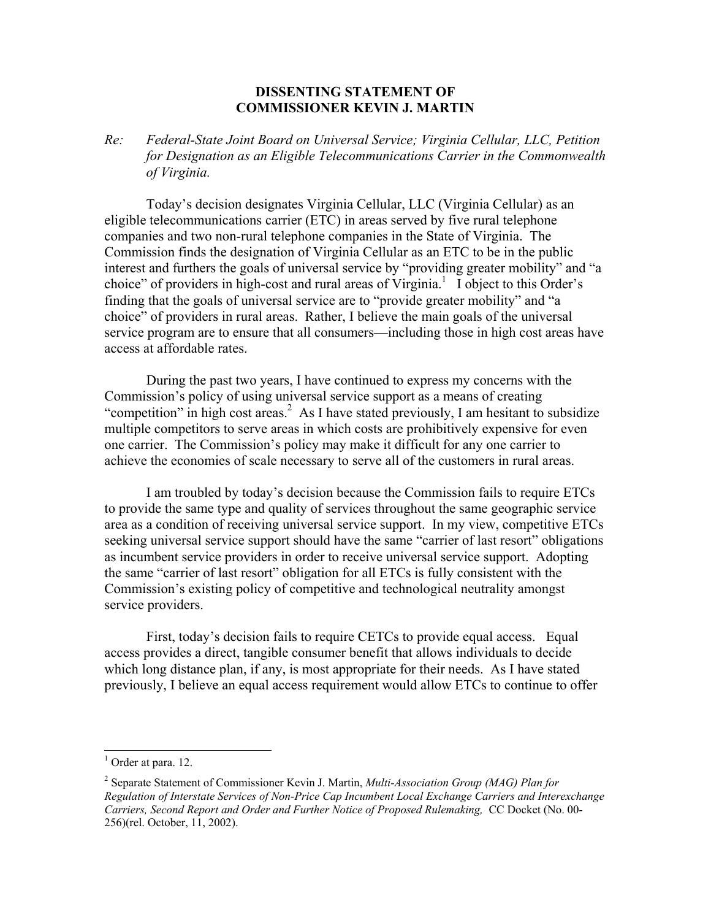## **DISSENTING STATEMENT OF COMMISSIONER KEVIN J. MARTIN**

*Re: Federal-State Joint Board on Universal Service; Virginia Cellular, LLC, Petition for Designation as an Eligible Telecommunications Carrier in the Commonwealth of Virginia.* 

Today's decision designates Virginia Cellular, LLC (Virginia Cellular) as an eligible telecommunications carrier (ETC) in areas served by five rural telephone companies and two non-rural telephone companies in the State of Virginia. The Commission finds the designation of Virginia Cellular as an ETC to be in the public interest and furthers the goals of universal service by "providing greater mobility" and "a choice" of providers in high-cost and rural areas of Virginia.<sup>1</sup> I object to this Order's finding that the goals of universal service are to "provide greater mobility" and "a choice" of providers in rural areas. Rather, I believe the main goals of the universal service program are to ensure that all consumers—including those in high cost areas have access at affordable rates.

During the past two years, I have continued to express my concerns with the Commission's policy of using universal service support as a means of creating "competition" in high cost areas.<sup>2</sup> As I have stated previously, I am hesitant to subsidize multiple competitors to serve areas in which costs are prohibitively expensive for even one carrier. The Commission's policy may make it difficult for any one carrier to achieve the economies of scale necessary to serve all of the customers in rural areas.

I am troubled by today's decision because the Commission fails to require ETCs to provide the same type and quality of services throughout the same geographic service area as a condition of receiving universal service support. In my view, competitive ETCs seeking universal service support should have the same "carrier of last resort" obligations as incumbent service providers in order to receive universal service support. Adopting the same "carrier of last resort" obligation for all ETCs is fully consistent with the Commission's existing policy of competitive and technological neutrality amongst service providers.

First, today's decision fails to require CETCs to provide equal access. Equal access provides a direct, tangible consumer benefit that allows individuals to decide which long distance plan, if any, is most appropriate for their needs. As I have stated previously, I believe an equal access requirement would allow ETCs to continue to offer

 $\overline{a}$ 

<sup>&</sup>lt;sup>1</sup> Order at para. 12.

<sup>2</sup> Separate Statement of Commissioner Kevin J. Martin, *Multi-Association Group (MAG) Plan for Regulation of Interstate Services of Non-Price Cap Incumbent Local Exchange Carriers and Interexchange Carriers, Second Report and Order and Further Notice of Proposed Rulemaking,* CC Docket (No. 00- 256)(rel. October, 11, 2002).